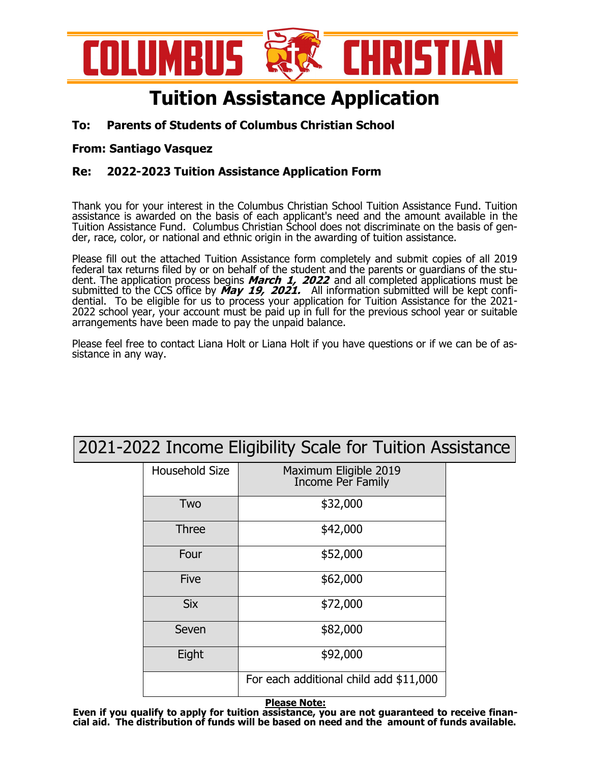

# **Tuition Assistance Application**

## **To: Parents of Students of Columbus Christian School**

#### **From: Santiago Vasquez**

## **Re: 2022-2023 Tuition Assistance Application Form**

Thank you for your interest in the Columbus Christian School Tuition Assistance Fund. Tuition assistance is awarded on the basis of each applicant's need and the amount available in the Tuition Assistance Fund. Columbus Christian School does not discriminate on the basis of gender, race, color, or national and ethnic origin in the awarding of tuition assistance.

Please fill out the attached Tuition Assistance form completely and submit copies of all 2019 federal tax returns filed by or on behalf of the student and the parents or guardians of the student. The application process begins **March 1, 2022** and all completed applications must be submitted to the CCS office by **May 19, 2021.** All information submitted will be kept confidential. To be eligible for us to process your application for Tuition Assistance for the 2021- 2022 school year, your account must be paid up in full for the previous school year or suitable arrangements have been made to pay the unpaid balance.

Please feel free to contact Liana Holt or Liana Holt if you have questions or if we can be of assistance in any way.

## 2021-2022 Income Eligibility Scale for Tuition Assistance

| <b>Household Size</b> | Maximum Eligible 2019<br>Income Per Family |
|-----------------------|--------------------------------------------|
| Two                   | \$32,000                                   |
| <b>Three</b>          | \$42,000                                   |
| Four                  | \$52,000                                   |
| Five                  | \$62,000                                   |
| <b>Six</b>            | \$72,000                                   |
| Seven                 | \$82,000                                   |
| Eight                 | \$92,000                                   |
|                       | For each additional child add \$11,000     |

#### **Please Note:**

**Even if you qualify to apply for tuition assistance, you are not guaranteed to receive financial aid. The distribution of funds will be based on need and the amount of funds available.**